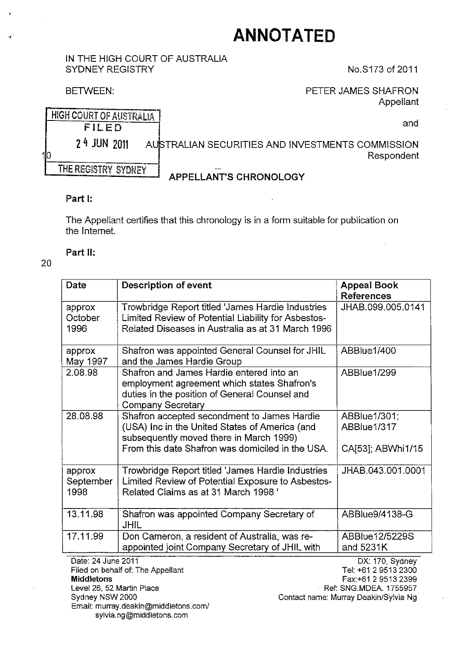# <sup>~</sup>**ANNOTATED**

#### IN THE HIGH COURT OF AUSTRALIA SYDNEY REGISTRY No.S173 of 2011

BETWEEN: BETWEEN: PETER JAMES SHAFRON Appellant

|    | HIGH COURT OF AUSTRALIA |                                                                |
|----|-------------------------|----------------------------------------------------------------|
|    | FILED                   | and                                                            |
| 10 | $24$ JUN $2011$         | AUSTRALIAN SECURITIES AND INVESTMENTS COMMISSION<br>Respondent |
|    | THE REGISTRY SYDNEY     | <b>APPELLANT'S CHRONOLOGY</b>                                  |

## Part I:

The Appellant certifies that this chronology is in a form suitable for publication on the Internet.

## Part II:

## 20

| Date                        | Description of event                                                                                                                                                                         | <b>Appeal Book</b><br><b>References</b>          |
|-----------------------------|----------------------------------------------------------------------------------------------------------------------------------------------------------------------------------------------|--------------------------------------------------|
| approx<br>October<br>1996   | Trowbridge Report titled 'James Hardie Industries<br>Limited Review of Potential Liability for Asbestos-<br>Related Diseases in Australia as at 31 March 1996                                | JHAB.099.005.0141                                |
| арргох<br>May 1997          | Shafron was appointed General Counsel for JHIL<br>and the James Hardie Group                                                                                                                 | ABBlue1/400                                      |
| 2.08.98                     | Shafron and James Hardie entered into an<br>employment agreement which states Shafron's<br>duties in the position of General Counsel and<br><b>Company Secretary</b>                         | ABBlue1/299                                      |
| 28.08.98                    | Shafron accepted secondment to James Hardie<br>(USA) Inc in the United States of America (and<br>subsequently moved there in March 1999)<br>From this date Shafron was domiciled in the USA. | ABBlue1/301;<br>ABBlue1/317<br>CA[53]; ABWhi1/15 |
|                             |                                                                                                                                                                                              |                                                  |
| approx<br>September<br>1998 | Trowbridge Report titled 'James Hardie Industries<br>Limited Review of Potential Exposure to Asbestos-<br>Related Claims as at 31 March 1998 '                                               | JHAB.043.001.0001                                |
| 13.11.98                    | Shafron was appointed Company Secretary of<br><b>JHIL</b>                                                                                                                                    | ABBlue9/4138-G                                   |
| 17.11.99                    | Don Cameron, a resident of Australia, was re-<br>appointed joint Company Secretary of JHIL with                                                                                              | ABBlue12/5229S<br>and 5231K                      |
| Date: 24 June 2011          | Filed on behalf of: The Appellant                                                                                                                                                            | DX: 170, Sydney<br>Tel: +61 2 9513 2300          |

ppellant<br> Middletons Level 26, 52 Martin Place Sydney NSW 2000 Email: murray.deakin@middletons.com/ sylvia.ng@middletons.com

Tel: +61 2 95132300 Fax:+61 2 95132399 Ref: SNG.MDEA. 1755957 Contact name: Murray Deakin/Sylvia Ng'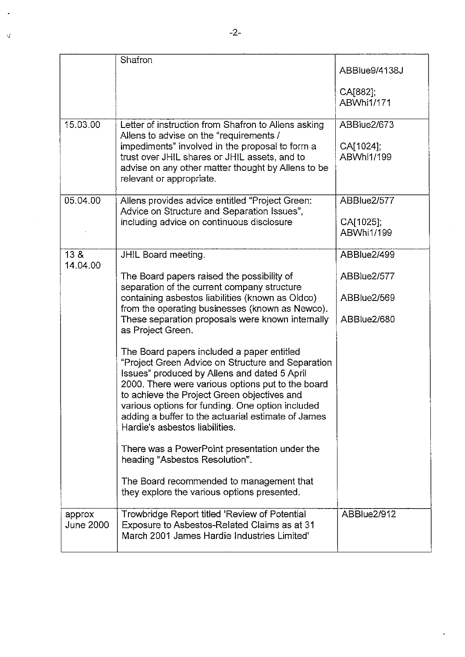|                     | Shafron                                                                                                                                                                                                                                                                                                                                                                                                                                                                                                                                                                                                                                                                                                                                                                                                                                                                           | ABBlue9/4138J<br>CA[882];<br>ABWhi1/171                  |
|---------------------|-----------------------------------------------------------------------------------------------------------------------------------------------------------------------------------------------------------------------------------------------------------------------------------------------------------------------------------------------------------------------------------------------------------------------------------------------------------------------------------------------------------------------------------------------------------------------------------------------------------------------------------------------------------------------------------------------------------------------------------------------------------------------------------------------------------------------------------------------------------------------------------|----------------------------------------------------------|
| 15.03.00            | Letter of instruction from Shafron to Allens asking<br>Allens to advise on the "requirements /<br>impediments" involved in the proposal to form a<br>trust over JHIL shares or JHIL assets, and to<br>advise on any other matter thought by Allens to be<br>relevant or appropriate.                                                                                                                                                                                                                                                                                                                                                                                                                                                                                                                                                                                              | ABBlue2/673<br>CA[1024];<br>ABWhi1/199                   |
| 05.04.00            | Allens provides advice entitled "Project Green:<br>Advice on Structure and Separation Issues",<br>including advice on continuous disclosure                                                                                                                                                                                                                                                                                                                                                                                                                                                                                                                                                                                                                                                                                                                                       | ABBlue2/577<br>CA[1025];<br>ABWhi1/199                   |
| 13 &<br>14.04.00    | JHIL Board meeting.<br>The Board papers raised the possibility of<br>separation of the current company structure<br>containing asbestos liabilities (known as Oldco)<br>from the operating businesses (known as Newco).<br>These separation proposals were known internally<br>as Project Green.<br>The Board papers included a paper entitled<br>"Project Green Advice on Structure and Separation<br>Issues" produced by Allens and dated 5 April<br>2000. There were various options put to the board<br>to achieve the Project Green objectives and<br>various options for funding. One option included<br>adding a buffer to the actuarial estimate of James<br>Hardie's asbestos liabilities.<br>There was a PowerPoint presentation under the<br>heading "Asbestos Resolution".<br>The Board recommended to management that<br>they explore the various options presented. | ABBlue2/499<br>ABBlue2/577<br>ABBlue2/569<br>ABBlue2/680 |
| approx<br>June 2000 | Trowbridge Report titled 'Review of Potential<br>Exposure to Asbestos-Related Claims as at 31<br>March 2001 James Hardie Industries Limited'                                                                                                                                                                                                                                                                                                                                                                                                                                                                                                                                                                                                                                                                                                                                      | ABBlue2/912                                              |

 $\bar{Q}$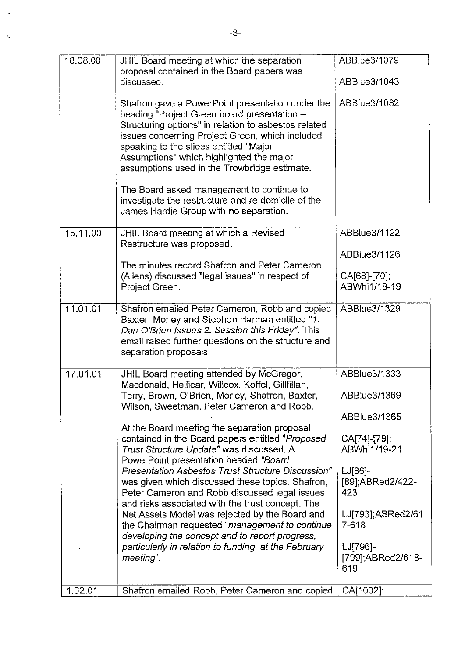| 18.08.00 | JHIL Board meeting at which the separation<br>proposal contained in the Board papers was<br>discussed.                                                                                                                                                                                                                                           | ABBlue3/1079<br>ABBlue3/1043         |
|----------|--------------------------------------------------------------------------------------------------------------------------------------------------------------------------------------------------------------------------------------------------------------------------------------------------------------------------------------------------|--------------------------------------|
|          | Shafron gave a PowerPoint presentation under the<br>heading "Project Green board presentation -<br>Structuring options" in relation to asbestos related<br>issues concerning Project Green, which included<br>speaking to the slides entitled "Major<br>Assumptions" which highlighted the major<br>assumptions used in the Trowbridge estimate. | ABBlue3/1082                         |
|          | The Board asked management to continue to<br>investigate the restructure and re-domicile of the<br>James Hardie Group with no separation.                                                                                                                                                                                                        |                                      |
| 15.11.00 | JHIL Board meeting at which a Revised<br>Restructure was proposed.                                                                                                                                                                                                                                                                               | ABBlue3/1122                         |
|          | The minutes record Shafron and Peter Cameron                                                                                                                                                                                                                                                                                                     | ABBlue3/1126                         |
|          | (Allens) discussed "legal issues" in respect of<br>Project Green.                                                                                                                                                                                                                                                                                | CA[68]-[70];<br>ABWhi1/18-19         |
| 11.01.01 | Shafron emailed Peter Cameron, Robb and copied<br>Baxter, Morley and Stephen Harman entitled "1.<br>Dan O'Brien Issues 2. Session this Friday". This<br>email raised further questions on the structure and<br>separation proposals                                                                                                              | ABBlue3/1329                         |
| 17.01.01 | JHIL Board meeting attended by McGregor,<br>Macdonald, Hellicar, Willcox, Koffel, Gillfillan,                                                                                                                                                                                                                                                    | ABBlue3/1333                         |
|          | Terry, Brown, O'Brien, Morley, Shafron, Baxter,<br>Wilson, Sweetman, Peter Cameron and Robb.                                                                                                                                                                                                                                                     | ABBlue3/1369                         |
|          | At the Board meeting the separation proposal                                                                                                                                                                                                                                                                                                     | ABBlue3/1365                         |
|          | contained in the Board papers entitled "Proposed<br>Trust Structure Update" was discussed. A<br>PowerPoint presentation headed "Board                                                                                                                                                                                                            | CA[74]-[79];<br>ABWhi1/19-21         |
|          | <b>Presentation Asbestos Trust Structure Discussion"</b><br>was given which discussed these topics. Shafron,<br>Peter Cameron and Robb discussed legal issues<br>and risks associated with the trust concept. The                                                                                                                                | $LJ[86]-$<br>[89] ABRed2/422-<br>423 |
|          | Net Assets Model was rejected by the Board and<br>the Chairman requested "management to continue<br>developing the concept and to report progress,                                                                                                                                                                                               | LJ[793];ABRed2/61<br>7-618           |
|          | particularly in relation to funding, at the February<br>meeting".                                                                                                                                                                                                                                                                                | LJ[796]-<br>[799];ABRed2/618-<br>619 |
| 1.02.01  | Shafron emailed Robb, Peter Cameron and copied                                                                                                                                                                                                                                                                                                   | CA[1002];                            |

 $\overline{\phantom{a}}$ 

 $\ddot{\phantom{0}}$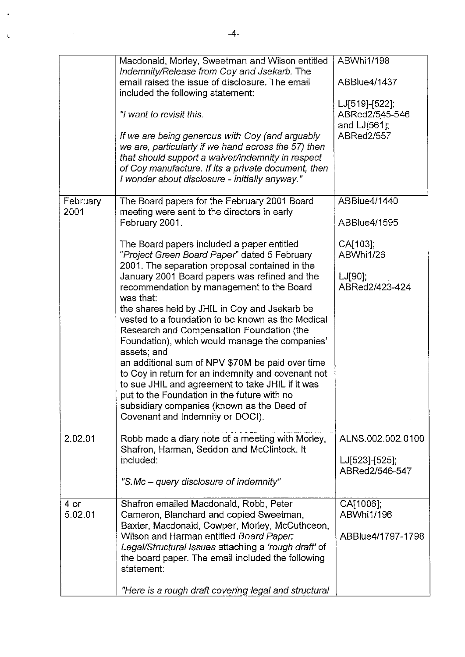|                  | Macdonald, Morley, Sweetman and Wilson entitled<br>Indemnity/Release from Coy and Jsekarb. The                                                                                                                                                                                              | ABWhi1/198                                          |
|------------------|---------------------------------------------------------------------------------------------------------------------------------------------------------------------------------------------------------------------------------------------------------------------------------------------|-----------------------------------------------------|
|                  | email raised the issue of disclosure. The email<br>included the following statement:                                                                                                                                                                                                        | <b>ABBlue4/1437</b>                                 |
|                  | "I want to revisit this.                                                                                                                                                                                                                                                                    | LJ[519]-[522];<br>ABRed2/545-546<br>and $LJ[561]$ ; |
|                  | If we are being generous with Coy (and arguably<br>we are, particularly if we hand across the 57) then<br>that should support a waiver/indemnity in respect<br>of Coy manufacture. If its a private document, then<br>I wonder about disclosure - initially anyway."                        | <b>ABRed2/557</b>                                   |
| February<br>2001 | The Board papers for the February 2001 Board<br>meeting were sent to the directors in early<br>February 2001.                                                                                                                                                                               | ABBlue4/1440<br>ABBlue4/1595                        |
|                  | The Board papers included a paper entitled<br>"Project Green Board Paper" dated 5 February<br>2001. The separation proposal contained in the                                                                                                                                                | CA[103];<br>ABWhi1/26                               |
|                  | January 2001 Board papers was refined and the<br>recommendation by management to the Board<br>was that:                                                                                                                                                                                     | $LJ[90]$ ;<br>ABRed2/423-424                        |
|                  | the shares held by JHIL in Coy and Jsekarb be<br>vested to a foundation to be known as the Medical<br>Research and Compensation Foundation (the<br>Foundation), which would manage the companies'<br>assets; and                                                                            |                                                     |
|                  | an additional sum of NPV \$70M be paid over time<br>to Coy in return for an indemnity and covenant not<br>to sue JHIL and agreement to take JHIL if it was<br>put to the Foundation in the future with no<br>subsidiary companies (known as the Deed of<br>Covenant and Indemnity or DOCI). |                                                     |
| 2.02.01          | Robb made a diary note of a meeting with Morley,<br>Shafron, Harman, Seddon and McClintock. It                                                                                                                                                                                              | ALNS.002.002.0100                                   |
|                  | included:                                                                                                                                                                                                                                                                                   | LJ[523]-[525];<br>ABRed2/546-547                    |
|                  | "S.Mc - query disclosure of indemnity"                                                                                                                                                                                                                                                      |                                                     |
| 4 or<br>5.02.01  | Shafron emailed Macdonald, Robb, Peter<br>Cameron, Blanchard and copied Sweetman,<br>Baxter, Macdonald, Cowper, Morley, McCuthceon,                                                                                                                                                         | CA[1006];<br>ABWhi1/196                             |
|                  | Wilson and Harman entitled Board Paper:<br>Legal/Structural Issues attaching a 'rough draft' of<br>the board paper. The email included the following<br>statement:                                                                                                                          | ABBlue4/1797-1798                                   |
|                  | "Here is a rough draft covering legal and structural                                                                                                                                                                                                                                        |                                                     |

Ń,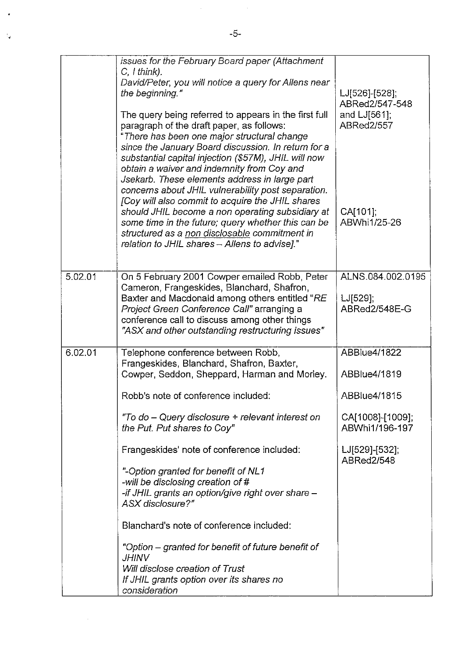|         | issues for the February Board paper (Attachment<br>$C, I$ think).<br>David/Peter, you will notice a query for Allens near<br>the beginning."                                                                                                                                                                                                                                                                          | LJ[526]-[528];<br>ABRed2/547-548                  |
|---------|-----------------------------------------------------------------------------------------------------------------------------------------------------------------------------------------------------------------------------------------------------------------------------------------------------------------------------------------------------------------------------------------------------------------------|---------------------------------------------------|
|         | The query being referred to appears in the first full<br>paragraph of the draft paper, as follows:<br>"There has been one major structural change<br>since the January Board discussion. In return for a<br>substantial capital injection (\$57M), JHIL will now<br>obtain a waiver and indemnity from Coy and<br>Jsekarb. These elements address in large part<br>concerns about JHIL vulnerability post separation. | and LJ[561];<br><b>ABRed2/557</b>                 |
|         | [Coy will also commit to acquire the JHIL shares<br>should JHIL become a non operating subsidiary at<br>some time in the future; query whether this can be<br>structured as a non disclosable commitment in<br>relation to JHIL shares - Allens to advise]."                                                                                                                                                          | CA[101];<br>ABWhi1/25-26                          |
| 5.02.01 | On 5 February 2001 Cowper emailed Robb, Peter<br>Cameron, Frangeskides, Blanchard, Shafron,<br>Baxter and Macdonald among others entitled "RE<br>Project Green Conference Call" arranging a<br>conference call to discuss among other things<br>"ASX and other outstanding restructuring issues"                                                                                                                      | ALNS.084.002.0195<br>$LJ[529]$ ;<br>ABRed2/548E-G |
| 6.02.01 | Telephone conference between Robb,<br>Frangeskides, Blanchard, Shafron, Baxter,<br>Cowper, Seddon, Sheppard, Harman and Morley.                                                                                                                                                                                                                                                                                       | <b>ABBlue4/1822</b><br>ABBlue4/1819               |
|         | Robb's note of conference included:                                                                                                                                                                                                                                                                                                                                                                                   | ABBlue4/1815                                      |
|         | "To do – Query disclosure + relevant interest on<br>the Put. Put shares to Coy"                                                                                                                                                                                                                                                                                                                                       | CA[1008]-[1009];<br>ABWhi1/196-197                |
|         | Frangeskides' note of conference included:                                                                                                                                                                                                                                                                                                                                                                            | LJ[529]-[532];<br>ABRed2/548                      |
|         | "-Option granted for benefit of NL1<br>-will be disclosing creation of #<br>-if JHIL grants an option/give right over share -<br>ASX disclosure?"                                                                                                                                                                                                                                                                     |                                                   |
|         | Blanchard's note of conference included:                                                                                                                                                                                                                                                                                                                                                                              |                                                   |
|         | "Option – granted for benefit of future benefit of<br><i><b>JHINV</b></i>                                                                                                                                                                                                                                                                                                                                             |                                                   |
|         | Will disclose creation of Trust<br>If JHIL grants option over its shares no<br>consideration                                                                                                                                                                                                                                                                                                                          |                                                   |

l,

ś,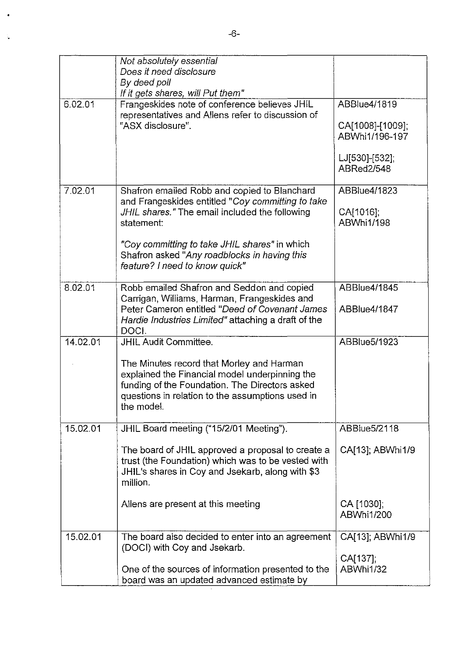|          | Not absolutely essential<br>Does it need disclosure<br>By deed poll                                                                                                                                                |                                                    |
|----------|--------------------------------------------------------------------------------------------------------------------------------------------------------------------------------------------------------------------|----------------------------------------------------|
| 6.02.01  | If it gets shares, will Put them"<br>Frangeskides note of conference believes JHIL<br>representatives and Allens refer to discussion of<br>"ASX disclosure".                                                       | ABBlue4/1819<br>CA[1008]-[1009];<br>ABWhi1/196-197 |
|          |                                                                                                                                                                                                                    | LJ[530]-[532];<br>ABRed2/548                       |
| 7.02.01  | Shafron emailed Robb and copied to Blanchard<br>and Frangeskides entitled "Coy committing to take<br>JHIL shares." The email included the following<br>statement:<br>"Coy committing to take JHIL shares" in which | ABBlue4/1823<br>CA[1016];<br>ABWhi1/198            |
|          | Shafron asked "Any roadblocks in having this<br>feature? I need to know quick"                                                                                                                                     |                                                    |
| 8.02.01  | Robb emailed Shafron and Seddon and copied<br>Carrigan, Williams, Harman, Frangeskides and<br>Peter Cameron entitled "Deed of Covenant James<br>Hardie Industries Limited" attaching a draft of the<br>DOCI.       | ABBlue4/1845<br>ABBlue4/1847                       |
| 14.02.01 | <b>JHIL Audit Committee.</b>                                                                                                                                                                                       | ABBlue5/1923                                       |
|          | The Minutes record that Morley and Harman<br>explained the Financial model underpinning the<br>funding of the Foundation. The Directors asked<br>questions in relation to the assumptions used in<br>the model.    |                                                    |
| 15.02.01 | JHIL Board meeting ("15/2/01 Meeting").                                                                                                                                                                            | ABBlue5/2118                                       |
|          | The board of JHIL approved a proposal to create a<br>trust (the Foundation) which was to be vested with<br>JHIL's shares in Coy and Jsekarb, along with \$3<br>million.                                            | CA[13]; ABWhi1/9                                   |
|          | Allens are present at this meeting                                                                                                                                                                                 | CA [1030];<br>ABWhi1/200                           |
| 15.02.01 | The board also decided to enter into an agreement<br>(DOCI) with Coy and Jsekarb.                                                                                                                                  | CA[13]; ABWhi1/9                                   |
|          | One of the sources of information presented to the<br>board was an updated advanced estimate by                                                                                                                    | CA[137];<br>ABWhi1/32                              |